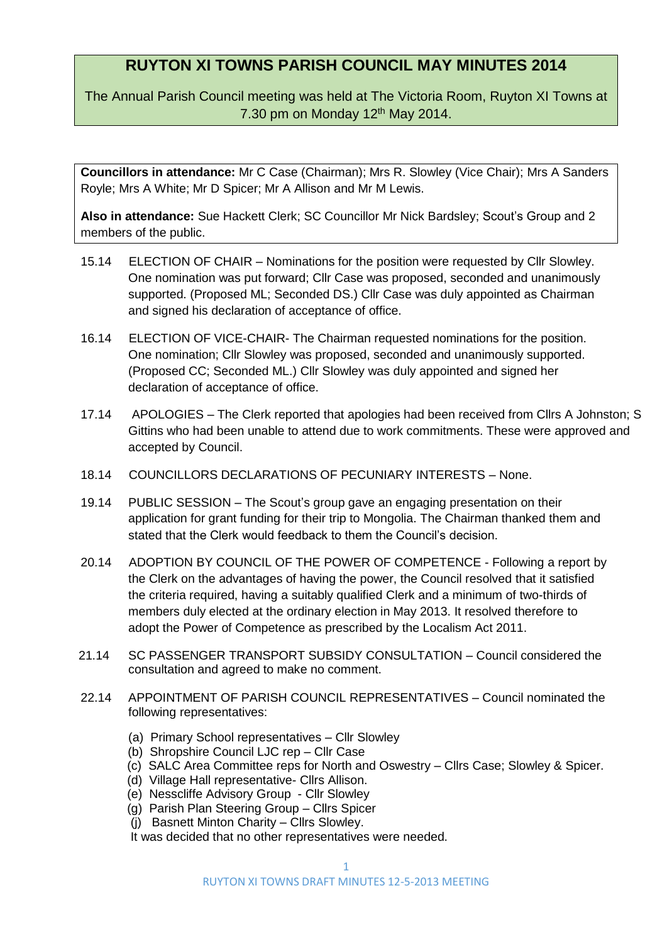## **RUYTON XI TOWNS PARISH COUNCIL MAY MINUTES 2014**

The Annual Parish Council meeting was held at The Victoria Room, Ruyton XI Towns at 7.30 pm on Monday  $12<sup>th</sup>$  May 2014.

**Councillors in attendance:** Mr C Case (Chairman); Mrs R. Slowley (Vice Chair); Mrs A Sanders Royle; Mrs A White; Mr D Spicer; Mr A Allison and Mr M Lewis.

Also in attendance: Sue Hackett Clerk; SC Councillor Mr Nick Bardsley; Scout's Group and 2 members of the public.

- 15.14 ELECTION OF CHAIR Nominations for the position were requested by Cllr Slowley. One nomination was put forward; Cllr Case was proposed, seconded and unanimously supported. (Proposed ML; Seconded DS.) Cllr Case was duly appointed as Chairman and signed his declaration of acceptance of office.
- 16.14 ELECTION OF VICE-CHAIR- The Chairman requested nominations for the position. One nomination; Cllr Slowley was proposed, seconded and unanimously supported. (Proposed CC; Seconded ML.) Cllr Slowley was duly appointed and signed her declaration of acceptance of office.
- 17.14 APOLOGIES The Clerk reported that apologies had been received from Cllrs A Johnston; S Gittins who had been unable to attend due to work commitments. These were approved and accepted by Council.
- 18.14 COUNCILLORS DECLARATIONS OF PECUNIARY INTERESTS None.
- 19.14 PUBLIC SESSION The Scout's group gave an engaging presentation on their application for grant funding for their trip to Mongolia. The Chairman thanked them and stated that the Clerk would feedback to them the Council's decision.
- 20.14 ADOPTION BY COUNCIL OF THE POWER OF COMPETENCE Following a report by the Clerk on the advantages of having the power, the Council resolved that it satisfied the criteria required, having a suitably qualified Clerk and a minimum of two-thirds of members duly elected at the ordinary election in May 2013. It resolved therefore to adopt the Power of Competence as prescribed by the Localism Act 2011.
- 21.14 SC PASSENGER TRANSPORT SUBSIDY CONSULTATION Council considered the consultation and agreed to make no comment.
- 22.14 APPOINTMENT OF PARISH COUNCIL REPRESENTATIVES Council nominated the following representatives:
	- (a) Primary School representatives Cllr Slowley
	- (b) Shropshire Council LJC rep Cllr Case
	- (c) SALC Area Committee reps for North and Oswestry Cllrs Case; Slowley & Spicer.
	- (d) Village Hall representative- Cllrs Allison.
	- (e) Nesscliffe Advisory Group Cllr Slowley
	- (g) Parish Plan Steering Group Cllrs Spicer
	- (j) Basnett Minton Charity Cllrs Slowley.

It was decided that no other representatives were needed.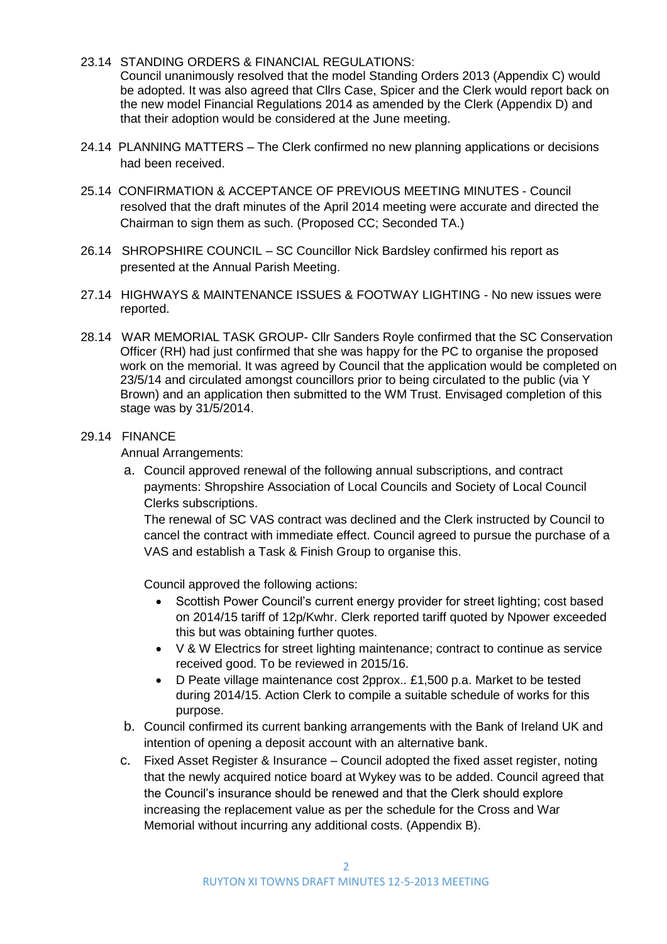- 23.14 STANDING ORDERS & FINANCIAL REGULATIONS: Council unanimously resolved that the model Standing Orders 2013 (Appendix C) would be adopted. It was also agreed that Cllrs Case, Spicer and the Clerk would report back on the new model Financial Regulations 2014 as amended by the Clerk (Appendix D) and that their adoption would be considered at the June meeting.
- 24.14 PLANNING MATTERS The Clerk confirmed no new planning applications or decisions had been received.
- 25.14 CONFIRMATION & ACCEPTANCE OF PREVIOUS MEETING MINUTES Council resolved that the draft minutes of the April 2014 meeting were accurate and directed the Chairman to sign them as such. (Proposed CC; Seconded TA.)
- 26.14 SHROPSHIRE COUNCIL SC Councillor Nick Bardsley confirmed his report as presented at the Annual Parish Meeting.
- 27.14 HIGHWAYS & MAINTENANCE ISSUES & FOOTWAY LIGHTING No new issues were reported.
- 28.14 WAR MEMORIAL TASK GROUP- Cllr Sanders Royle confirmed that the SC Conservation Officer (RH) had just confirmed that she was happy for the PC to organise the proposed work on the memorial. It was agreed by Council that the application would be completed on 23/5/14 and circulated amongst councillors prior to being circulated to the public (via Y Brown) and an application then submitted to the WM Trust. Envisaged completion of this stage was by 31/5/2014.

## 29.14 FINANCE

Annual Arrangements:

a. Council approved renewal of the following annual subscriptions, and contract payments: Shropshire Association of Local Councils and Society of Local Council Clerks subscriptions.

The renewal of SC VAS contract was declined and the Clerk instructed by Council to cancel the contract with immediate effect. Council agreed to pursue the purchase of a VAS and establish a Task & Finish Group to organise this.

Council approved the following actions:

- Scottish Power Council's current energy provider for street lighting; cost based on 2014/15 tariff of 12p/Kwhr. Clerk reported tariff quoted by Npower exceeded this but was obtaining further quotes.
- V & W Electrics for street lighting maintenance; contract to continue as service received good. To be reviewed in 2015/16.
- D Peate village maintenance cost 2pprox.. £1,500 p.a. Market to be tested during 2014/15. Action Clerk to compile a suitable schedule of works for this purpose.
- b. Council confirmed its current banking arrangements with the Bank of Ireland UK and intention of opening a deposit account with an alternative bank.
- c. Fixed Asset Register & Insurance Council adopted the fixed asset register, noting that the newly acquired notice board at Wykey was to be added. Council agreed that the Council's insurance should be renewed and that the Clerk should explore increasing the replacement value as per the schedule for the Cross and War Memorial without incurring any additional costs. (Appendix B).